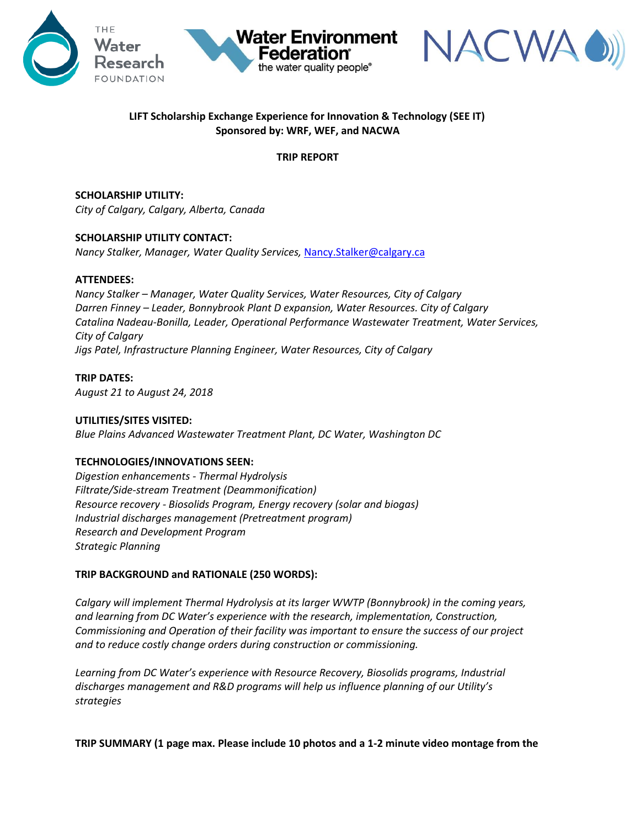





# **LIFT Scholarship Exchange Experience for Innovation & Technology (SEE IT) Sponsored by: WRF, WEF, and NACWA**

### **TRIP REPORT**

**SCHOLARSHIP UTILITY:** *City of Calgary, Calgary, Alberta, Canada*

# **SCHOLARSHIP UTILITY CONTACT:**

*Nancy Stalker, Manager, Water Quality Services,* [Nancy.Stalker@calgary.ca](mailto:Nancy.Stalker@calgary.ca)

#### **ATTENDEES:**

*Nancy Stalker – Manager, Water Quality Services, Water Resources, City of Calgary Darren Finney – Leader, Bonnybrook Plant D expansion, Water Resources. City of Calgary Catalina Nadeau-Bonilla, Leader, Operational Performance Wastewater Treatment, Water Services, City of Calgary Jigs Patel, Infrastructure Planning Engineer, Water Resources, City of Calgary*

**TRIP DATES:** *August 21 to August 24, 2018*

### **UTILITIES/SITES VISITED:**

*Blue Plains Advanced Wastewater Treatment Plant, DC Water, Washington DC*

#### **TECHNOLOGIES/INNOVATIONS SEEN:**

*Digestion enhancements - Thermal Hydrolysis Filtrate/Side-stream Treatment (Deammonification) Resource recovery - Biosolids Program, Energy recovery (solar and biogas) Industrial discharges management (Pretreatment program) Research and Development Program Strategic Planning*

# **TRIP BACKGROUND and RATIONALE (250 WORDS):**

*Calgary will implement Thermal Hydrolysis at its larger WWTP (Bonnybrook) in the coming years, and learning from DC Water's experience with the research, implementation, Construction, Commissioning and Operation of their facility was important to ensure the success of our project and to reduce costly change orders during construction or commissioning.* 

*Learning from DC Water's experience with Resource Recovery, Biosolids programs, Industrial discharges management and R&D programs will help us influence planning of our Utility's strategies*

**TRIP SUMMARY (1 page max. Please include 10 photos and a 1-2 minute video montage from the**